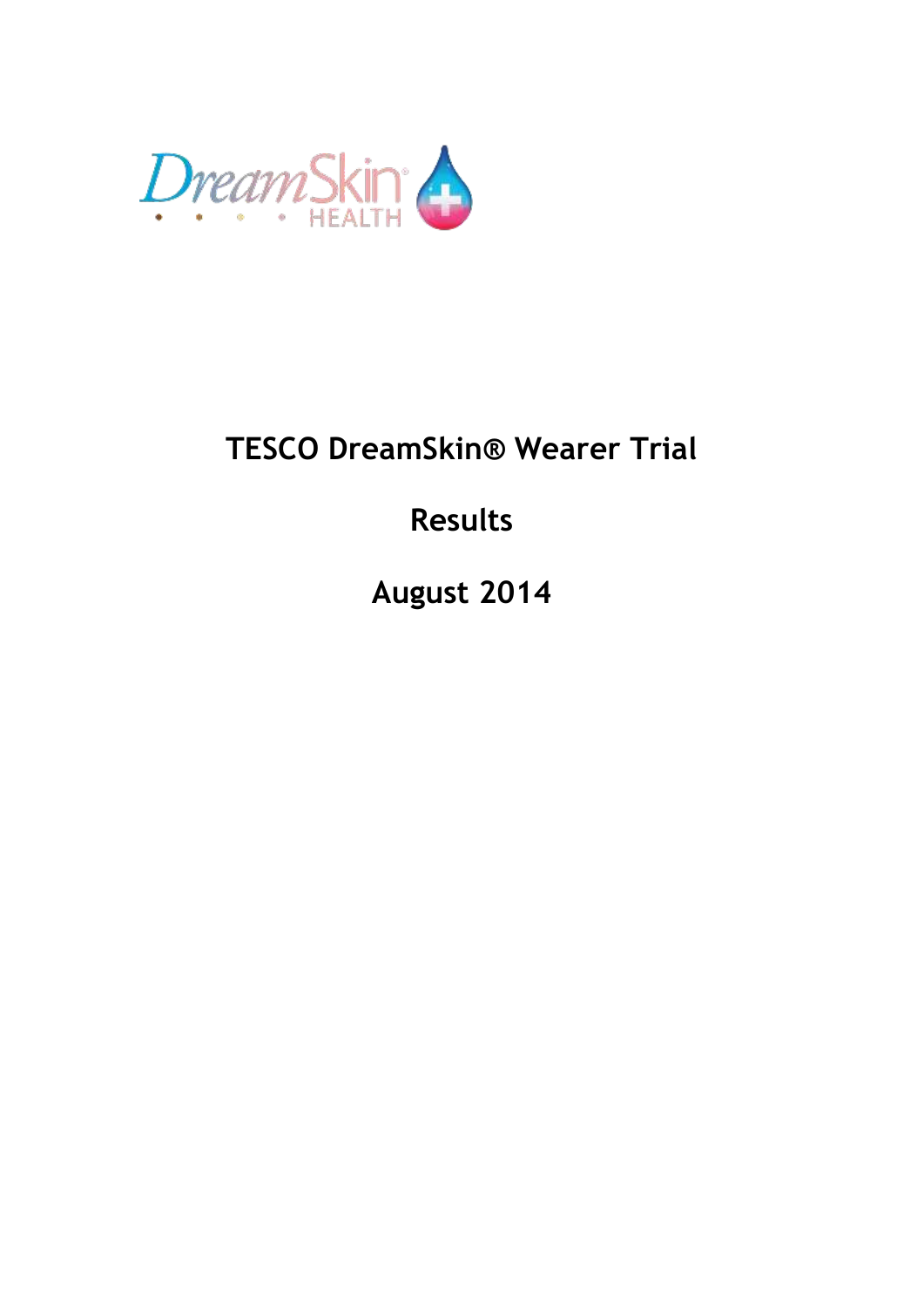

# **TESCO DreamSkin® Wearer Trial**

# **Results**

**August 2014**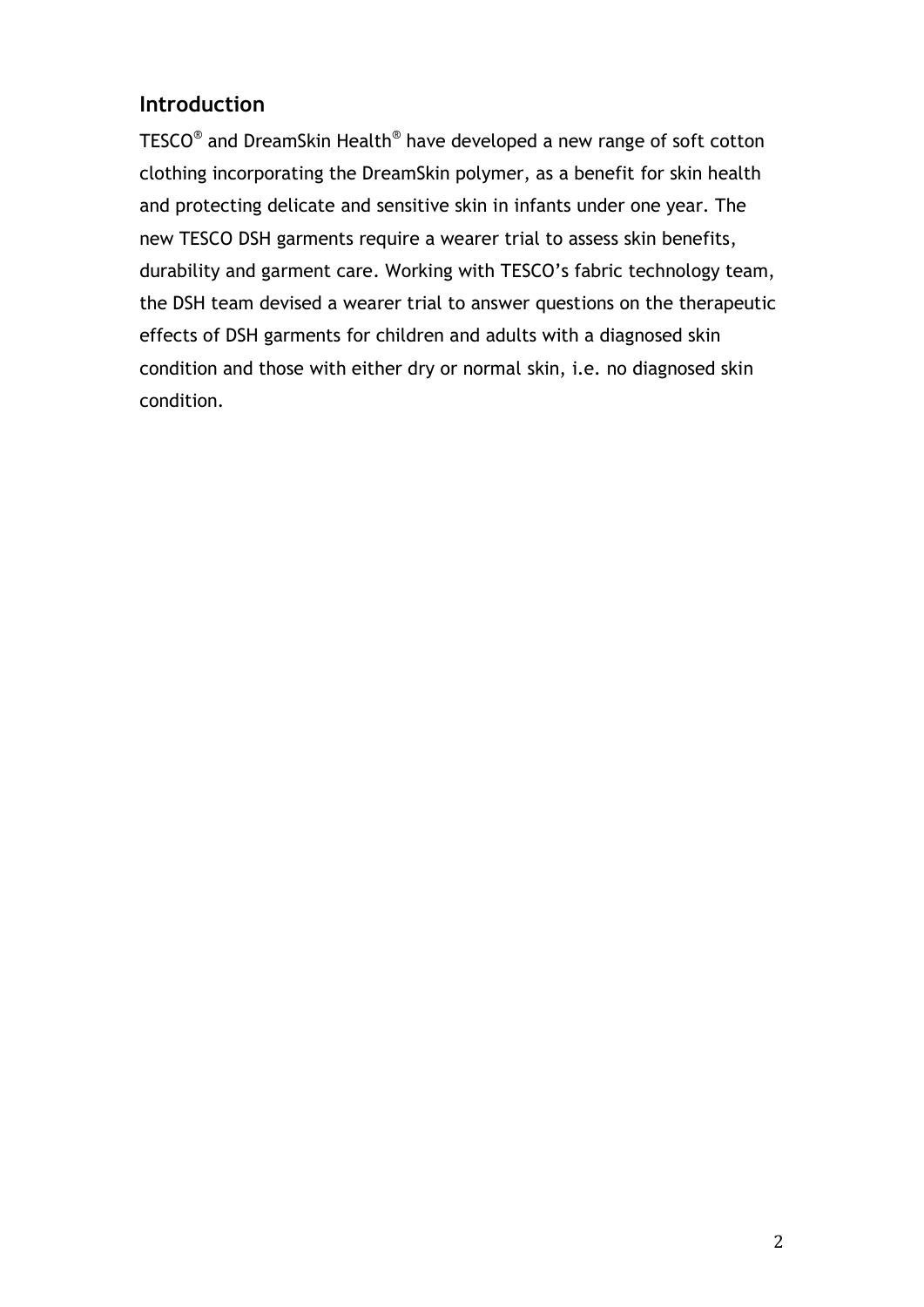# **Introduction**

<code>TESCO®</code> and DreamSkin Health $^{\circledast}$  have developed a new range of soft cotton clothing incorporating the DreamSkin polymer, as a benefit for skin health and protecting delicate and sensitive skin in infants under one year. The new TESCO DSH garments require a wearer trial to assess skin benefits, durability and garment care. Working with TESCO's fabric technology team, the DSH team devised a wearer trial to answer questions on the therapeutic effects of DSH garments for children and adults with a diagnosed skin condition and those with either dry or normal skin, i.e. no diagnosed skin condition.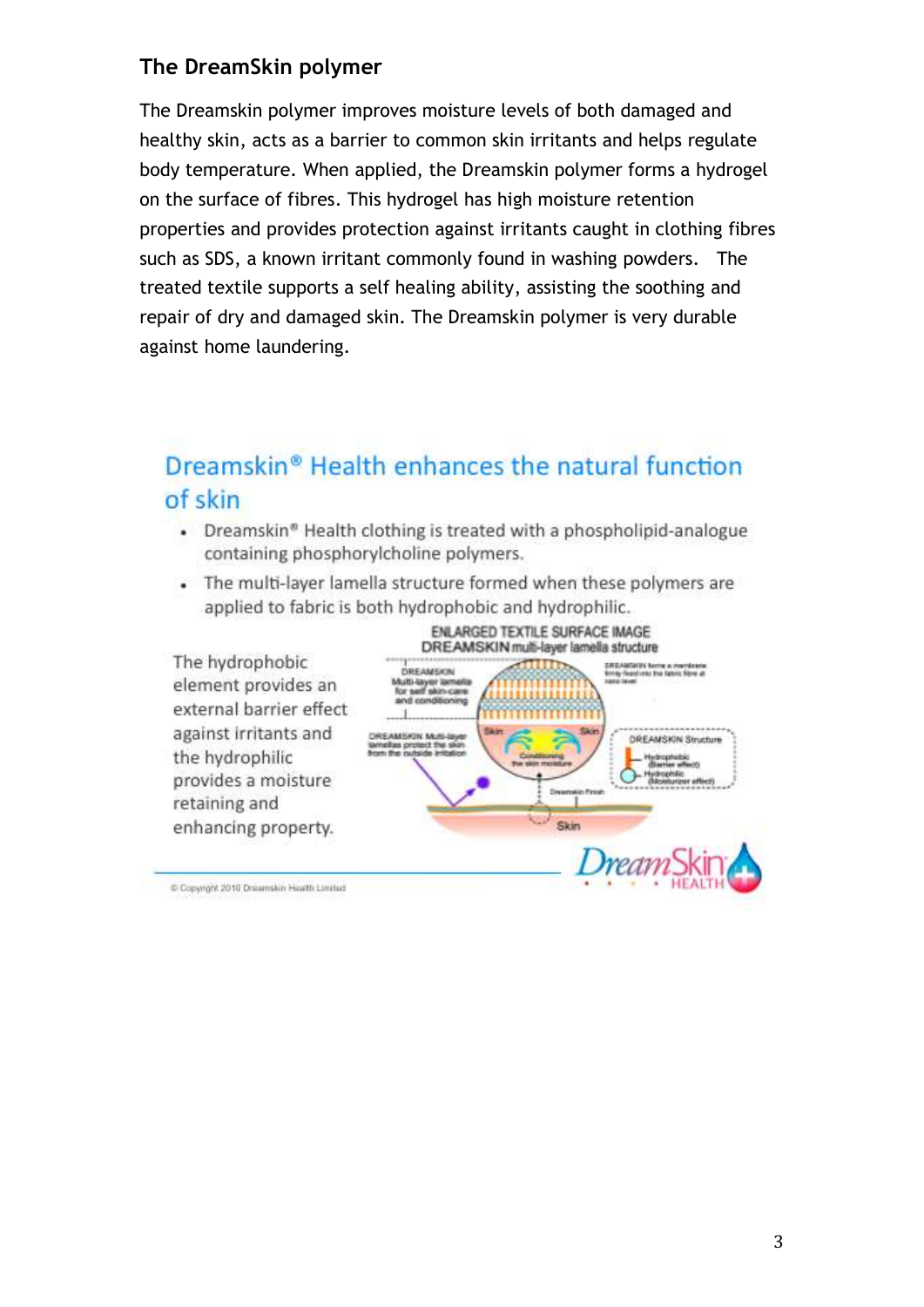# **The DreamSkin polymer**

The Dreamskin polymer improves moisture levels of both damaged and healthy skin, acts as a barrier to common skin irritants and helps regulate body temperature. When applied, the Dreamskin polymer forms a hydrogel on the surface of fibres. This hydrogel has high moisture retention properties and provides protection against irritants caught in clothing fibres such as SDS, a known irritant commonly found in washing powders. The treated textile supports a self healing ability, assisting the soothing and repair of dry and damaged skin. The Dreamskin polymer is very durable against home laundering.

# Dreamskin® Health enhances the natural function of skin

- Dreamskin<sup>®</sup> Health clothing is treated with a phospholipid-analogue containing phosphorylcholine polymers.
- . The multi-layer lamella structure formed when these polymers are applied to fabric is both hydrophobic and hydrophilic.



Copyright 2010 Dreamskin Health Limited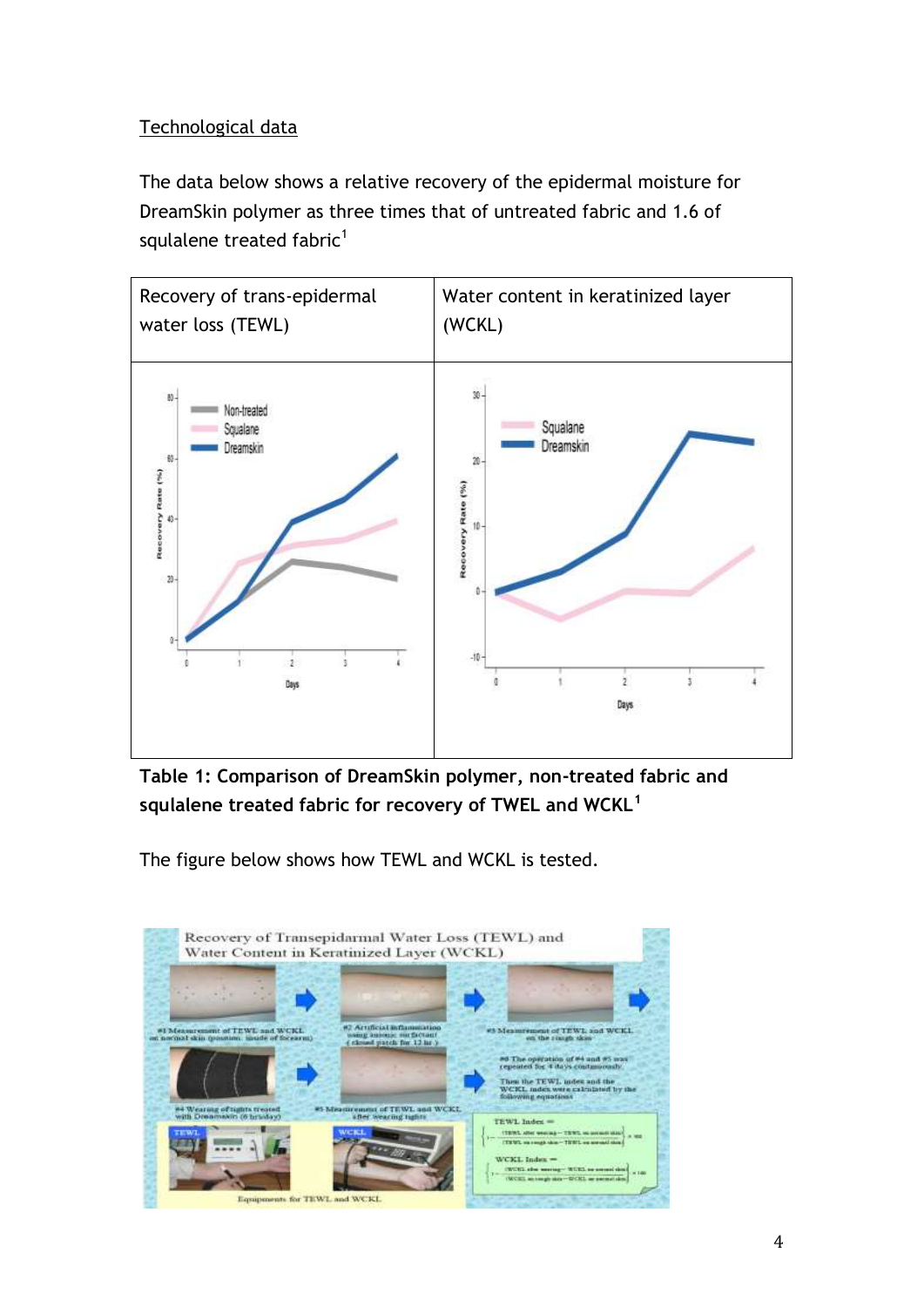## Technological data

The data below shows a relative recovery of the epidermal moisture for DreamSkin polymer as three times that of untreated fabric and 1.6 of squlalene treated fabric $<sup>1</sup>$ </sup>



**Table 1: Comparison of DreamSkin polymer, non-treated fabric and squlalene treated fabric for recovery of TWEL and WCKL<sup>1</sup>**

The figure below shows how TEWL and WCKL is tested.

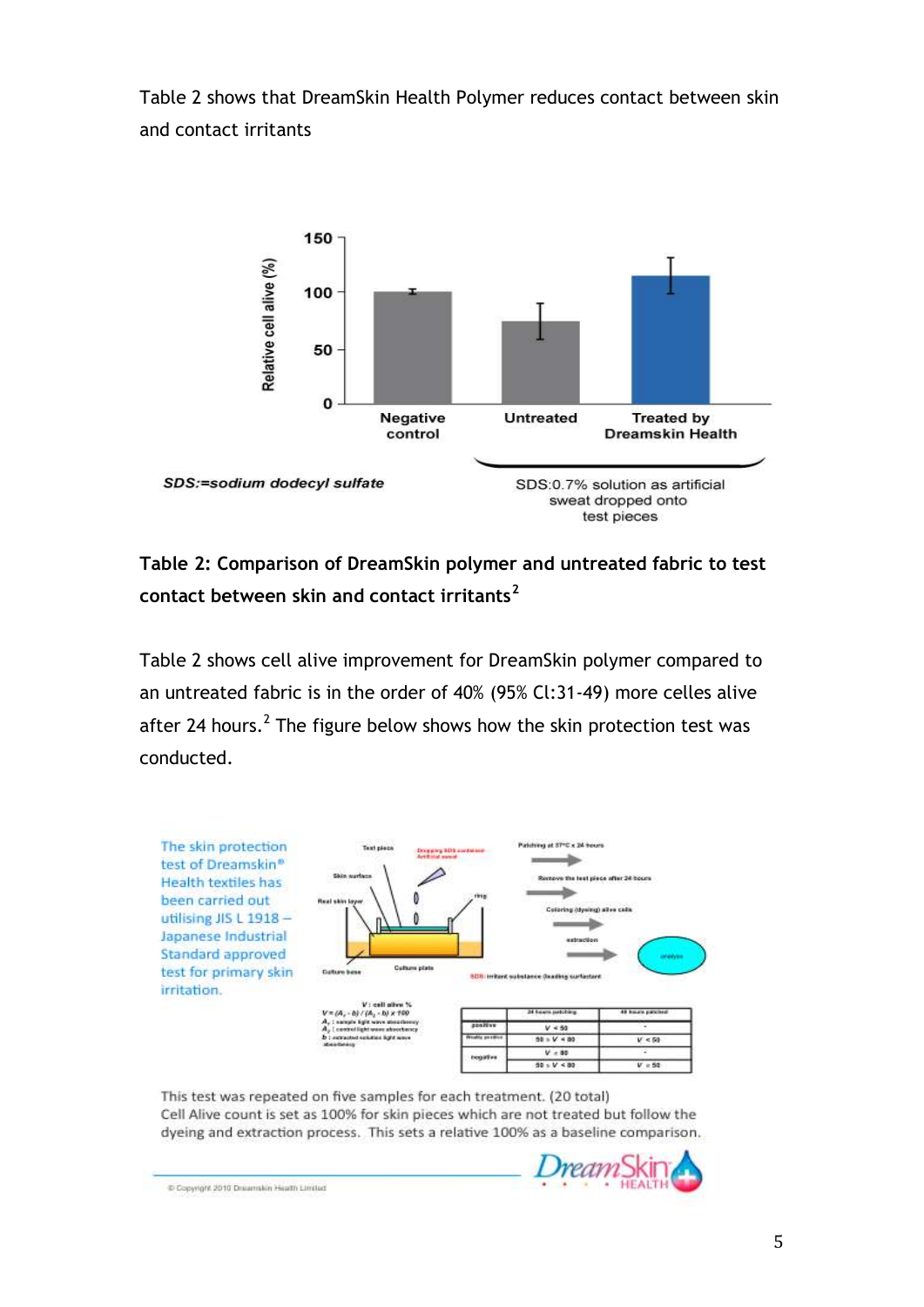Table 2 shows that DreamSkin Health Polymer reduces contact between skin and contact irritants



## **Table 2: Comparison of DreamSkin polymer and untreated fabric to test contact between skin and contact irritants<sup>2</sup>**

Table 2 shows cell alive improvement for DreamSkin polymer compared to an untreated fabric is in the order of 40% (95% Cl:31-49) more celles alive after 24 hours.<sup>2</sup> The figure below shows how the skin protection test was conducted.



This test was repeated on five samples for each treatment. (20 total) Cell Alive count is set as 100% for skin pieces which are not treated but follow the dyeing and extraction process. This sets a relative 100% as a baseline comparison.



Copyright 2010 Dreamskin Health Limited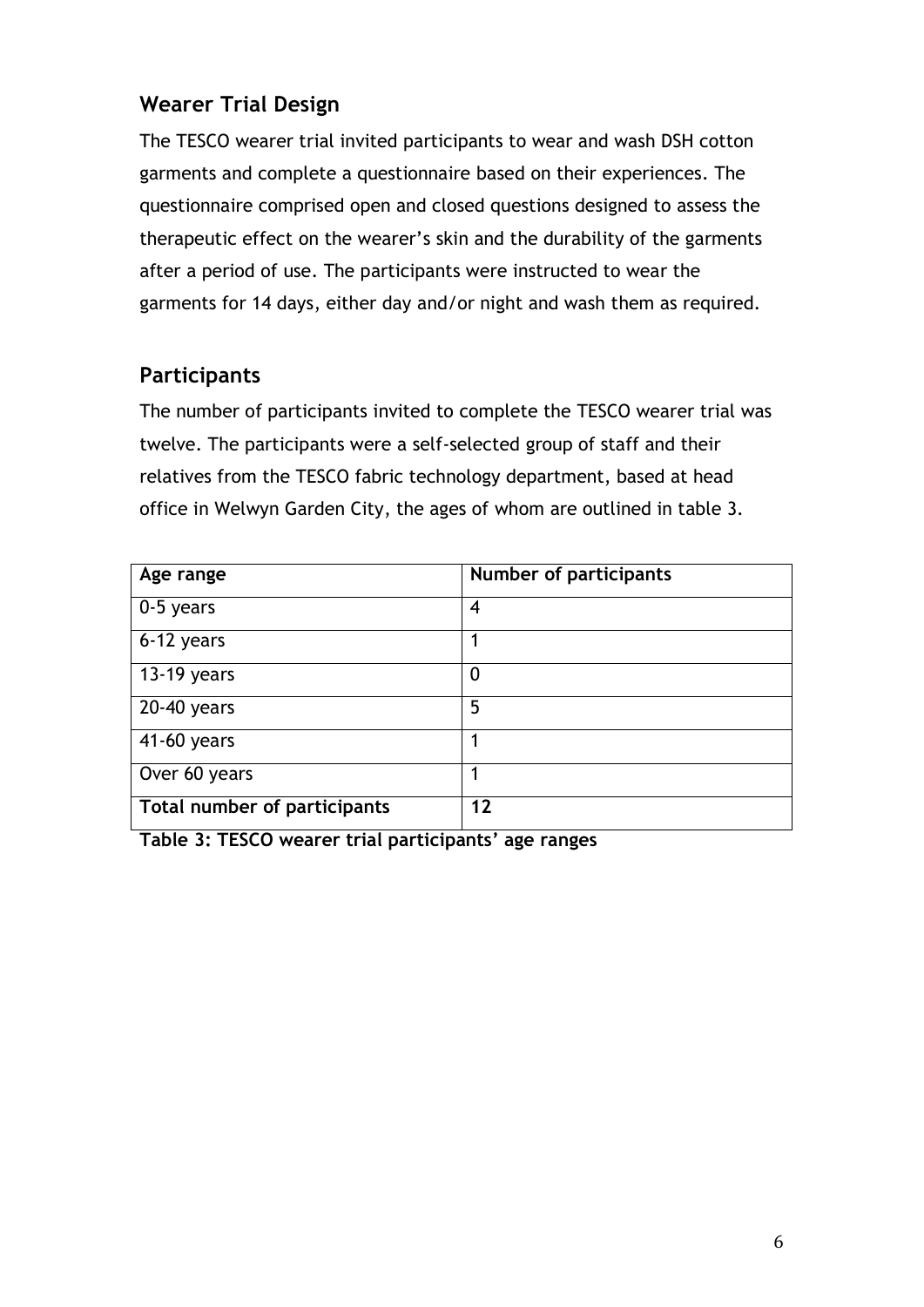# **Wearer Trial Design**

The TESCO wearer trial invited participants to wear and wash DSH cotton garments and complete a questionnaire based on their experiences. The questionnaire comprised open and closed questions designed to assess the therapeutic effect on the wearer's skin and the durability of the garments after a period of use. The participants were instructed to wear the garments for 14 days, either day and/or night and wash them as required.

## **Participants**

The number of participants invited to complete the TESCO wearer trial was twelve. The participants were a self-selected group of staff and their relatives from the TESCO fabric technology department, based at head office in Welwyn Garden City, the ages of whom are outlined in table 3.

| Age range                    | <b>Number of participants</b> |
|------------------------------|-------------------------------|
| 0-5 years                    | 4                             |
| 6-12 years                   |                               |
| 13-19 years                  | $\boldsymbol{0}$              |
| $\overline{20}$ -40 years    | 5                             |
| 41-60 years                  |                               |
| Over 60 years                |                               |
| Total number of participants | 12                            |

**Table 3: TESCO wearer trial participants' age ranges**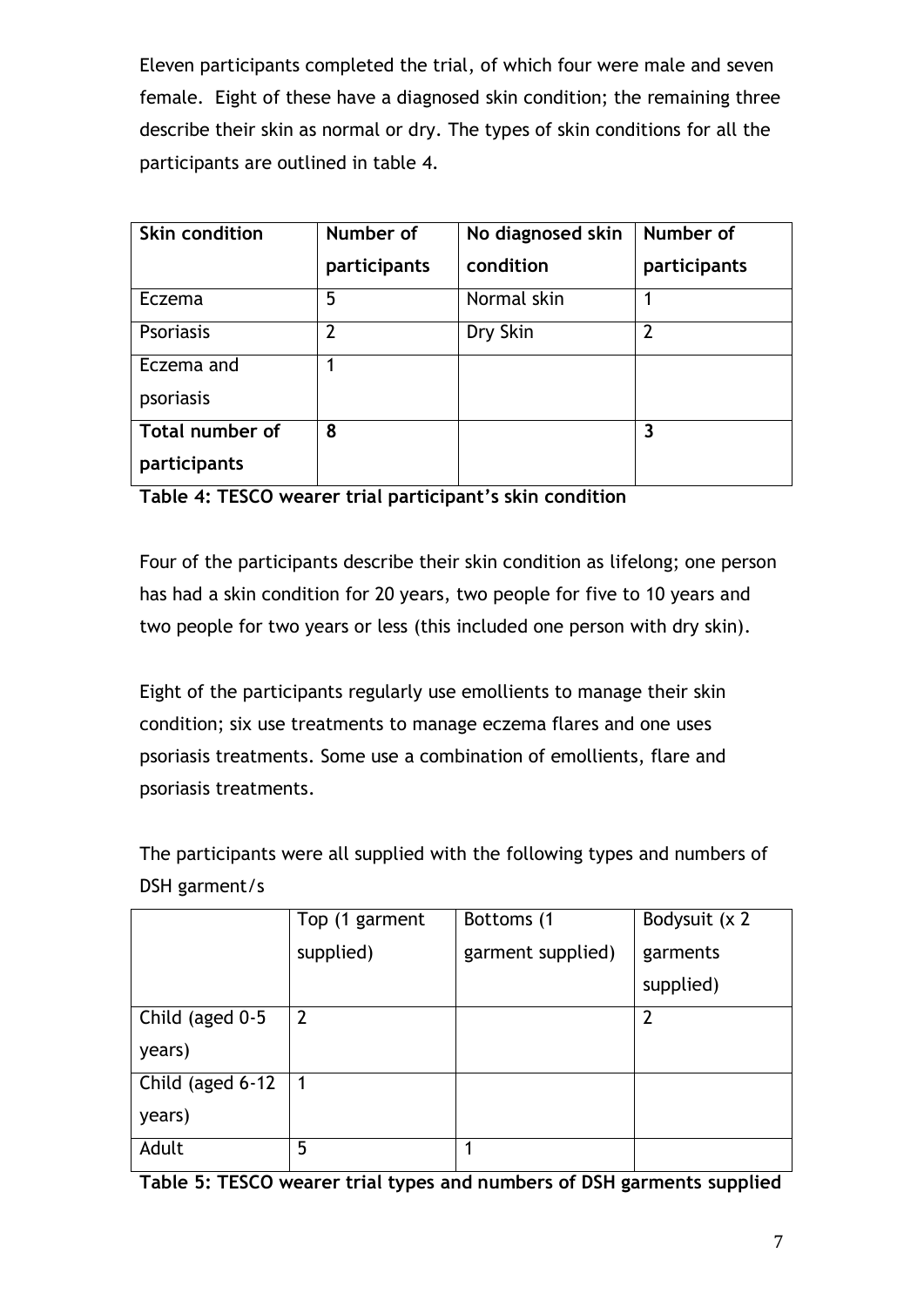Eleven participants completed the trial, of which four were male and seven female. Eight of these have a diagnosed skin condition; the remaining three describe their skin as normal or dry. The types of skin conditions for all the participants are outlined in table 4.

| <b>Skin condition</b> | Number of<br>participants | No diagnosed skin<br>condition | Number of<br>participants |
|-----------------------|---------------------------|--------------------------------|---------------------------|
| Eczema                | 5                         | Normal skin                    | 1                         |
| <b>Psoriasis</b>      | $\mathcal{P}$             | Dry Skin                       | $\overline{2}$            |
| Eczema and            |                           |                                |                           |
| psoriasis             |                           |                                |                           |
| Total number of       | 8                         |                                | 3                         |
| participants          |                           |                                |                           |

**Table 4: TESCO wearer trial participant's skin condition**

Four of the participants describe their skin condition as lifelong; one person has had a skin condition for 20 years, two people for five to 10 years and two people for two years or less (this included one person with dry skin).

Eight of the participants regularly use emollients to manage their skin condition; six use treatments to manage eczema flares and one uses psoriasis treatments. Some use a combination of emollients, flare and psoriasis treatments.

The participants were all supplied with the following types and numbers of DSH garment/s

|                  | Top (1 garment | Bottoms (1        | Bodysuit (x 2  |
|------------------|----------------|-------------------|----------------|
|                  | supplied)      | garment supplied) | garments       |
|                  |                |                   | supplied)      |
| Child (aged 0-5  | $\overline{2}$ |                   | $\overline{2}$ |
| years)           |                |                   |                |
| Child (aged 6-12 | 1              |                   |                |
| years)           |                |                   |                |
| Adult            | 5              |                   |                |

**Table 5: TESCO wearer trial types and numbers of DSH garments supplied**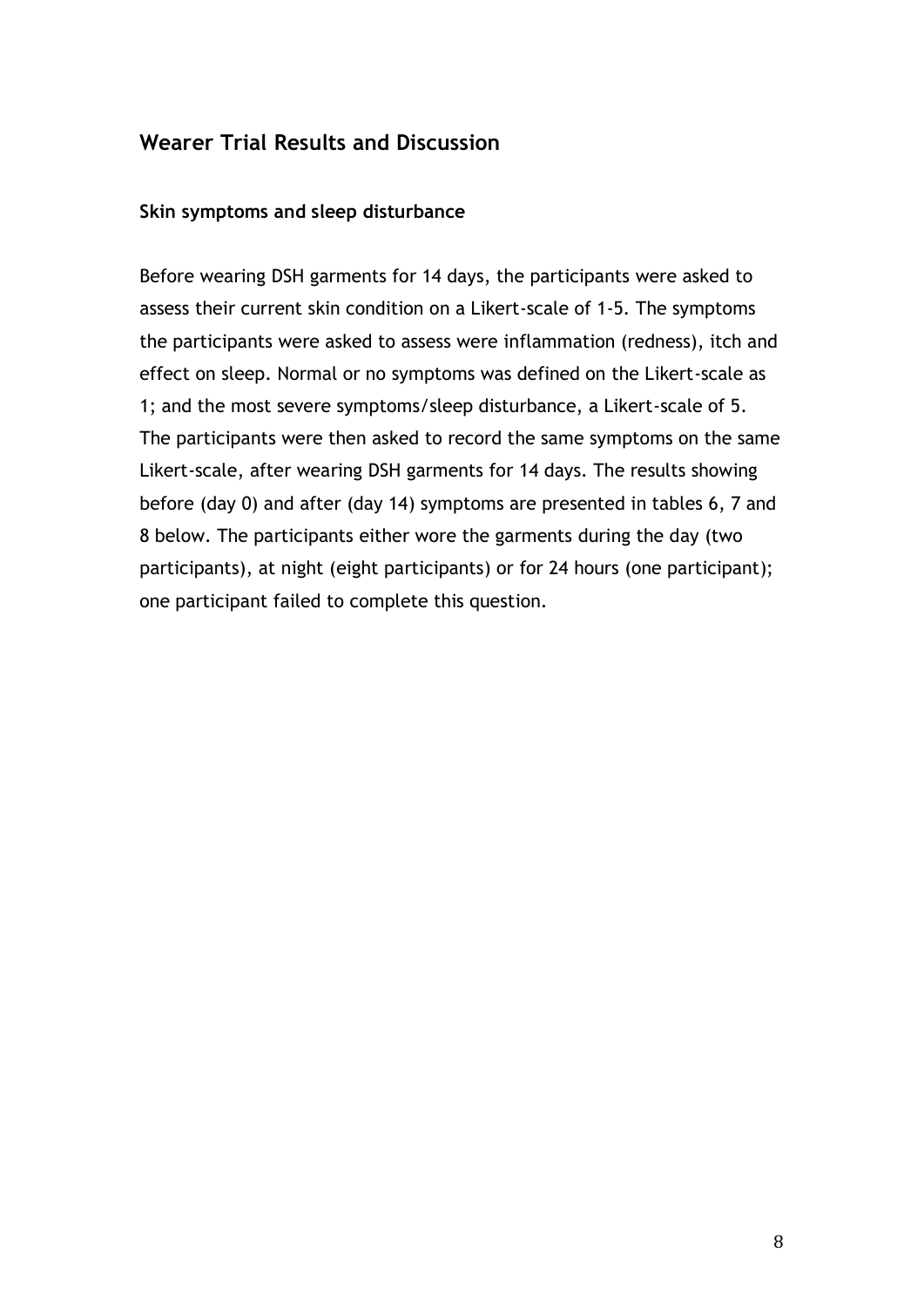## **Wearer Trial Results and Discussion**

#### **Skin symptoms and sleep disturbance**

Before wearing DSH garments for 14 days, the participants were asked to assess their current skin condition on a Likert-scale of 1-5. The symptoms the participants were asked to assess were inflammation (redness), itch and effect on sleep. Normal or no symptoms was defined on the Likert-scale as 1; and the most severe symptoms/sleep disturbance, a Likert-scale of 5. The participants were then asked to record the same symptoms on the same Likert-scale, after wearing DSH garments for 14 days. The results showing before (day 0) and after (day 14) symptoms are presented in tables 6, 7 and 8 below. The participants either wore the garments during the day (two participants), at night (eight participants) or for 24 hours (one participant); one participant failed to complete this question.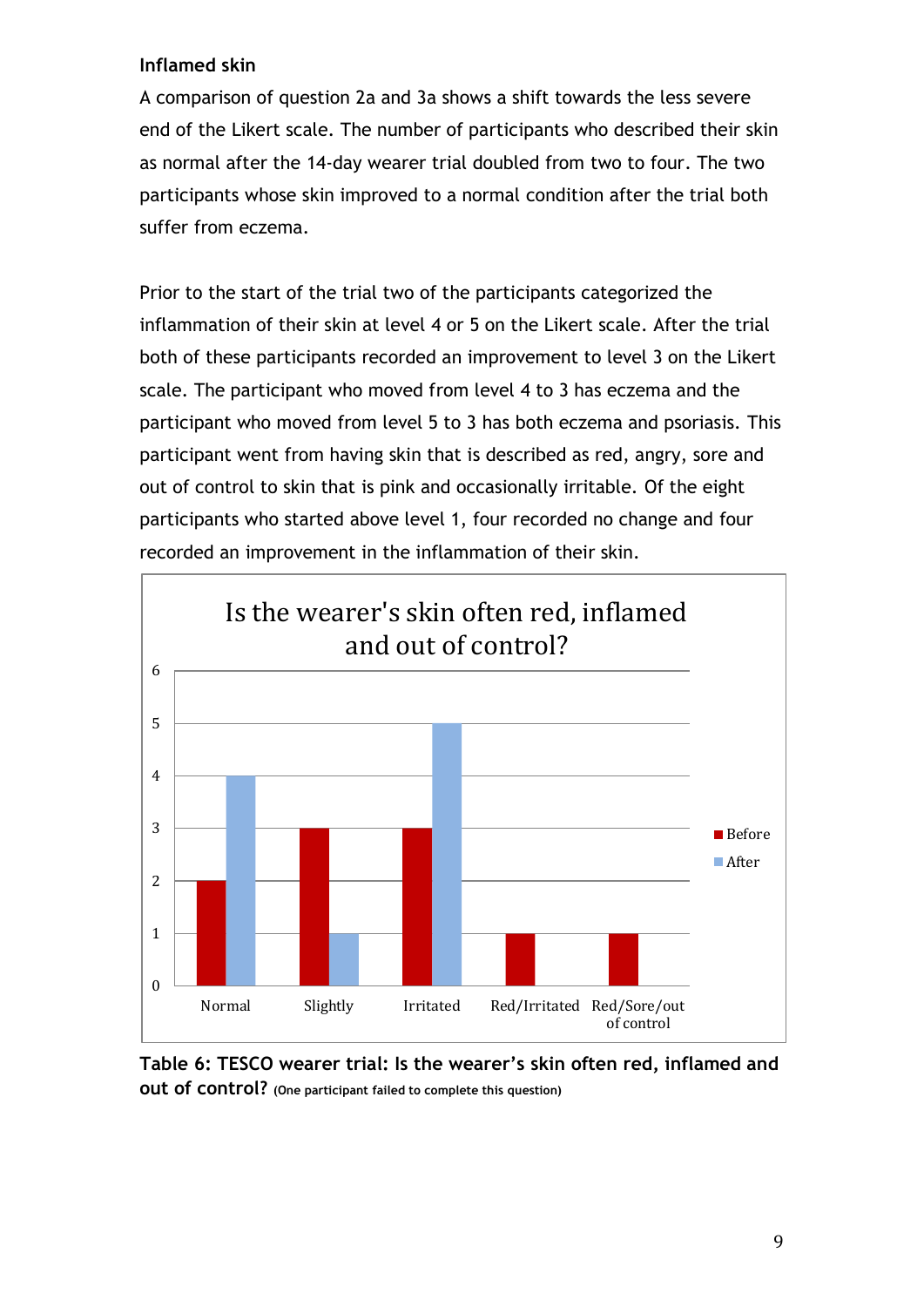#### **Inflamed skin**

A comparison of question 2a and 3a shows a shift towards the less severe end of the Likert scale. The number of participants who described their skin as normal after the 14-day wearer trial doubled from two to four. The two participants whose skin improved to a normal condition after the trial both suffer from eczema.

Prior to the start of the trial two of the participants categorized the inflammation of their skin at level 4 or 5 on the Likert scale. After the trial both of these participants recorded an improvement to level 3 on the Likert scale. The participant who moved from level 4 to 3 has eczema and the participant who moved from level 5 to 3 has both eczema and psoriasis. This participant went from having skin that is described as red, angry, sore and out of control to skin that is pink and occasionally irritable. Of the eight participants who started above level 1, four recorded no change and four recorded an improvement in the inflammation of their skin.



**Table 6: TESCO wearer trial: Is the wearer's skin often red, inflamed and out of control? (One participant failed to complete this question)**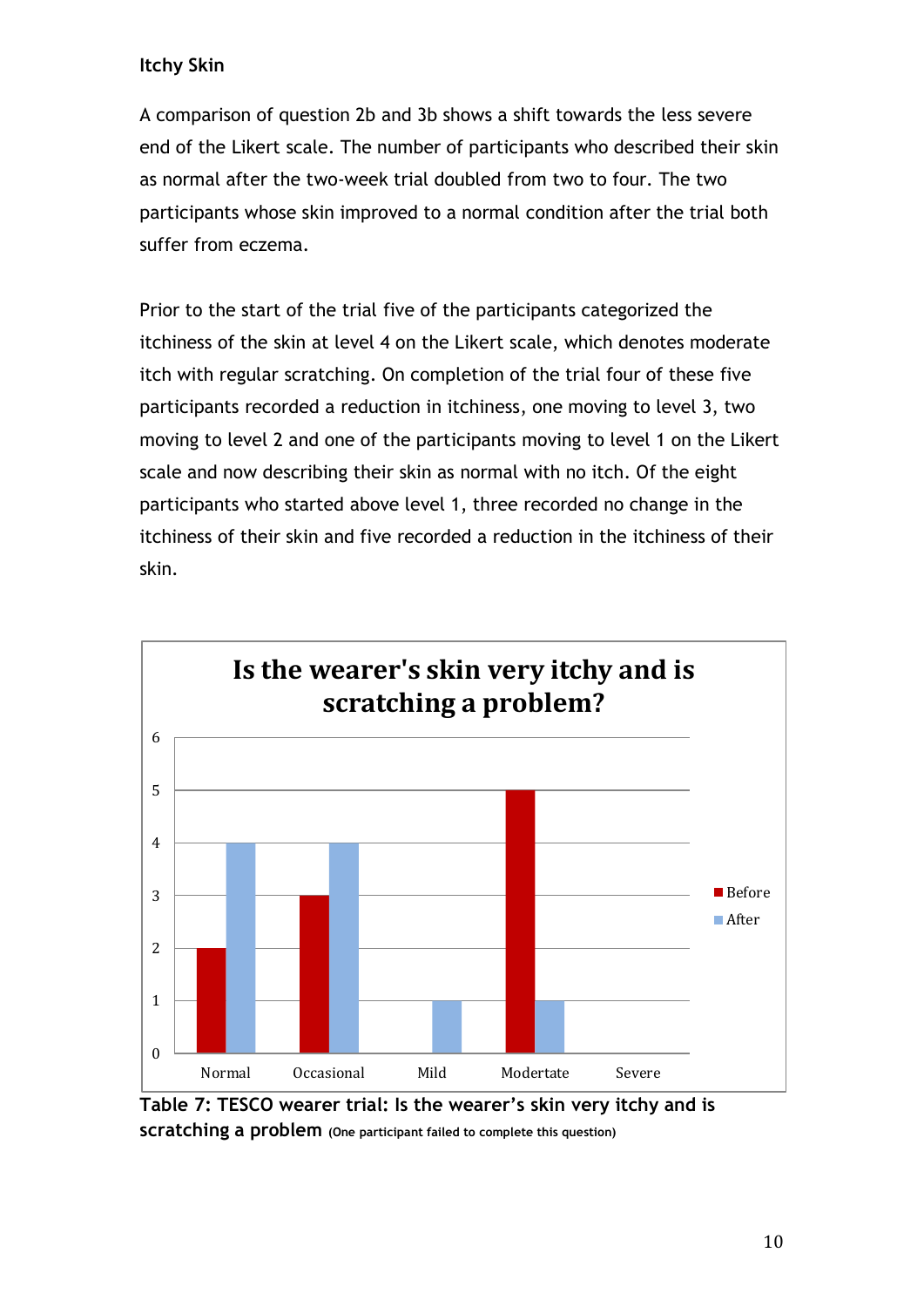## **Itchy Skin**

A comparison of question 2b and 3b shows a shift towards the less severe end of the Likert scale. The number of participants who described their skin as normal after the two-week trial doubled from two to four. The two participants whose skin improved to a normal condition after the trial both suffer from eczema.

Prior to the start of the trial five of the participants categorized the itchiness of the skin at level 4 on the Likert scale, which denotes moderate itch with regular scratching. On completion of the trial four of these five participants recorded a reduction in itchiness, one moving to level 3, two moving to level 2 and one of the participants moving to level 1 on the Likert scale and now describing their skin as normal with no itch. Of the eight participants who started above level 1, three recorded no change in the itchiness of their skin and five recorded a reduction in the itchiness of their skin.



**Table 7: TESCO wearer trial: Is the wearer's skin very itchy and is scratching a problem (One participant failed to complete this question)**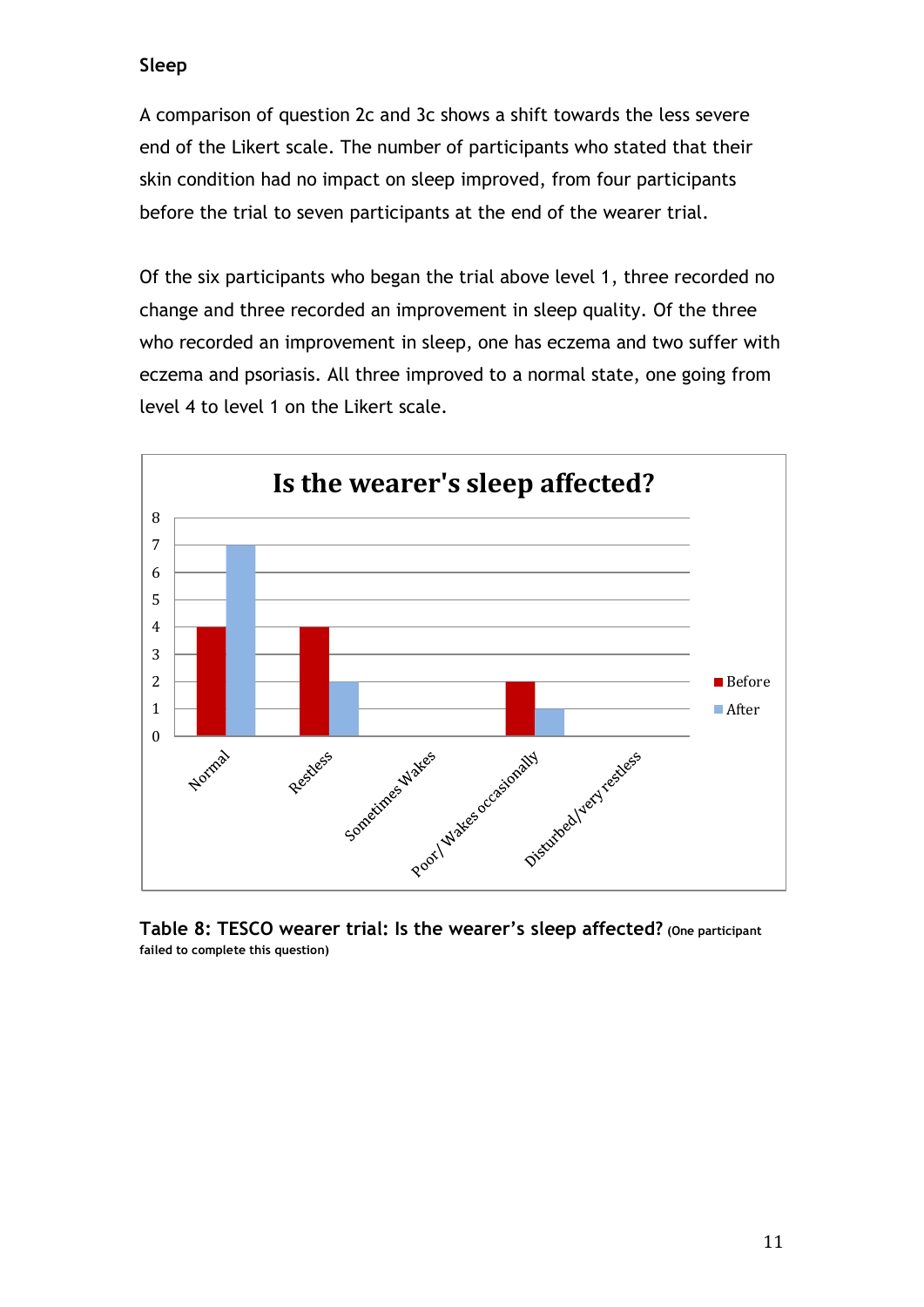#### **Sleep**

A comparison of question 2c and 3c shows a shift towards the less severe end of the Likert scale. The number of participants who stated that their skin condition had no impact on sleep improved, from four participants before the trial to seven participants at the end of the wearer trial.

Of the six participants who began the trial above level 1, three recorded no change and three recorded an improvement in sleep quality. Of the three who recorded an improvement in sleep, one has eczema and two suffer with eczema and psoriasis. All three improved to a normal state, one going from level 4 to level 1 on the Likert scale.



**Table 8: TESCO wearer trial: Is the wearer's sleep affected? (One participant failed to complete this question)**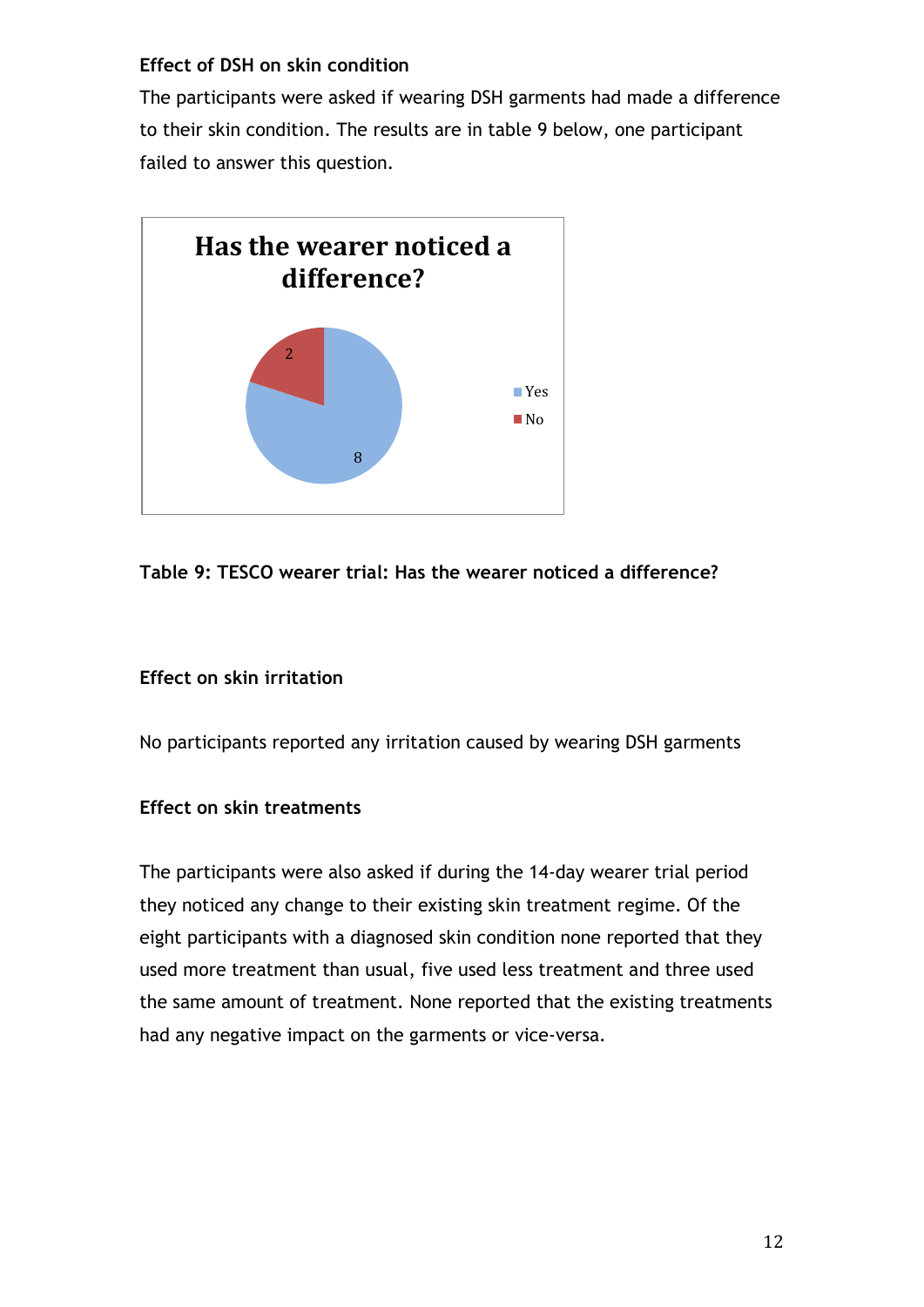#### **Effect of DSH on skin condition**

The participants were asked if wearing DSH garments had made a difference to their skin condition. The results are in table 9 below, one participant failed to answer this question.



## **Table 9: TESCO wearer trial: Has the wearer noticed a difference?**

#### **Effect on skin irritation**

No participants reported any irritation caused by wearing DSH garments

#### **Effect on skin treatments**

The participants were also asked if during the 14-day wearer trial period they noticed any change to their existing skin treatment regime. Of the eight participants with a diagnosed skin condition none reported that they used more treatment than usual, five used less treatment and three used the same amount of treatment. None reported that the existing treatments had any negative impact on the garments or vice-versa.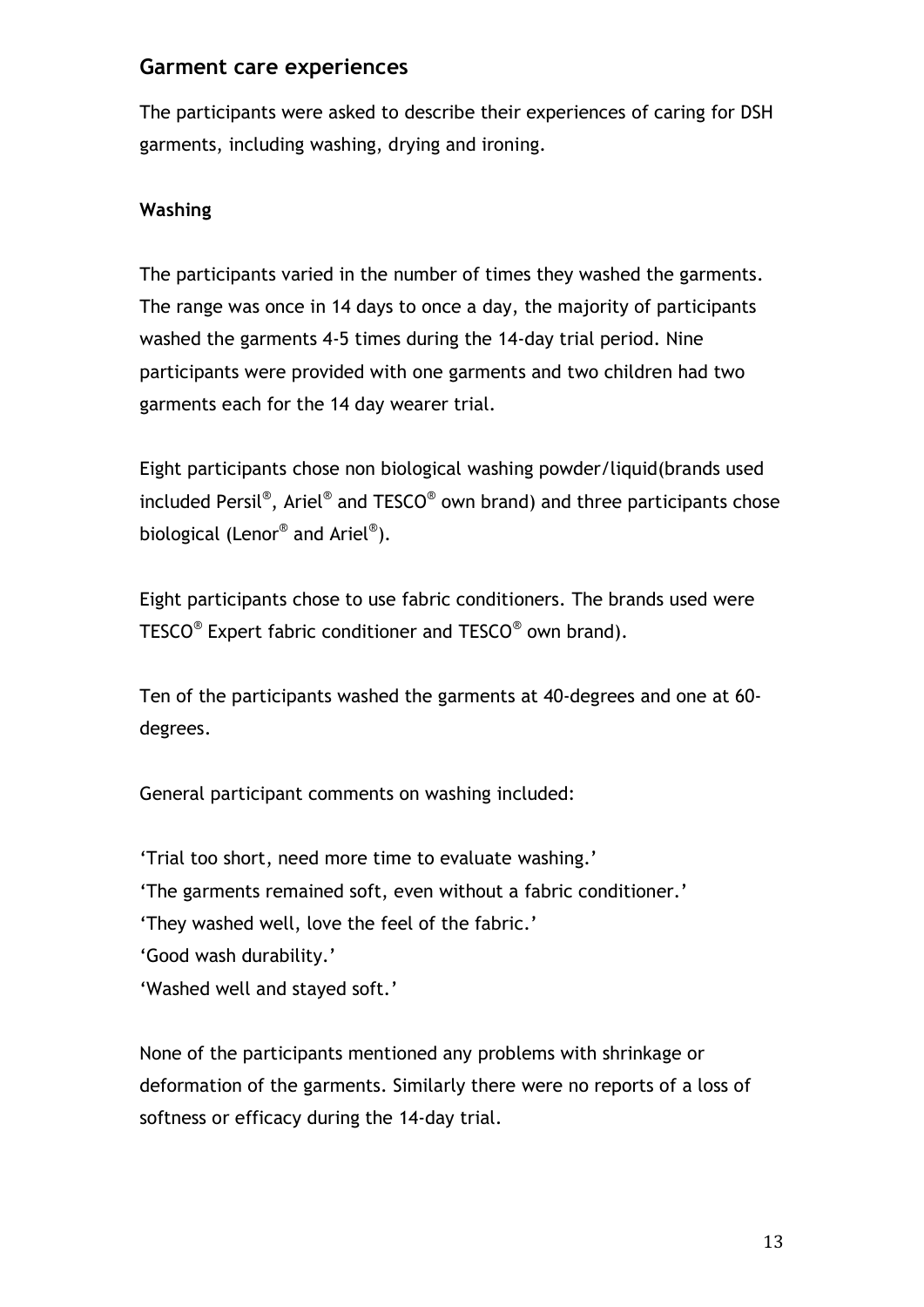## **Garment care experiences**

The participants were asked to describe their experiences of caring for DSH garments, including washing, drying and ironing.

## **Washing**

The participants varied in the number of times they washed the garments. The range was once in 14 days to once a day, the majority of participants washed the garments 4-5 times during the 14-day trial period. Nine participants were provided with one garments and two children had two garments each for the 14 day wearer trial.

Eight participants chose non biological washing powder/liquid(brands used included Persil $^\circ$ , Ariel $^\circ$  and TESCO $^\circ$  own brand) and three participants chose biological (Lenor $^\circledast$  and Ariel $^\circledast$ ).

Eight participants chose to use fabric conditioners. The brands used were TESCO<sup>®</sup> Expert fabric conditioner and TESCO<sup>®</sup> own brand).

Ten of the participants washed the garments at 40-degrees and one at 60 degrees.

General participant comments on washing included:

'Trial too short, need more time to evaluate washing.'

'The garments remained soft, even without a fabric conditioner.'

'They washed well, love the feel of the fabric.'

'Good wash durability.'

'Washed well and stayed soft.'

None of the participants mentioned any problems with shrinkage or deformation of the garments. Similarly there were no reports of a loss of softness or efficacy during the 14-day trial.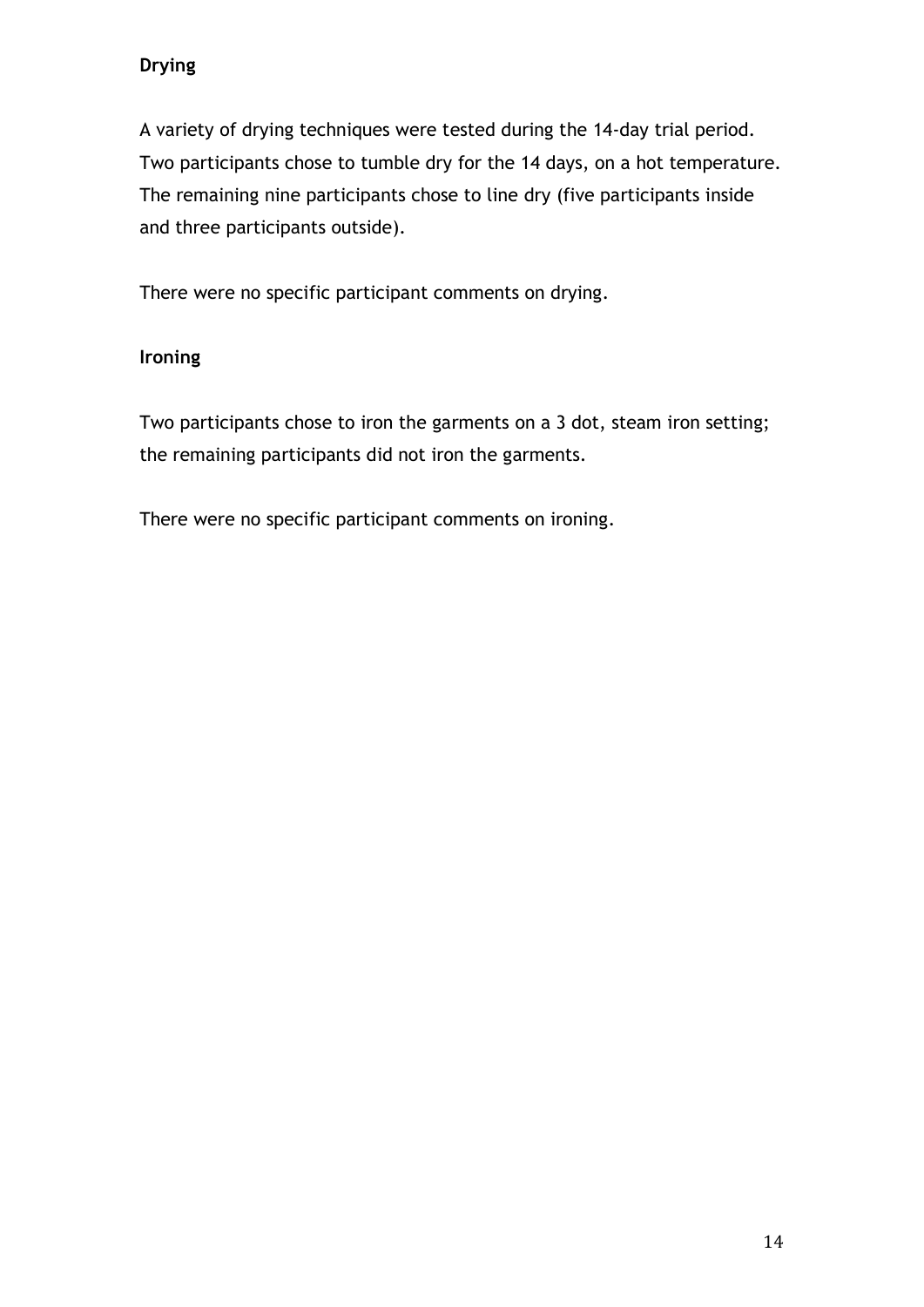## **Drying**

A variety of drying techniques were tested during the 14-day trial period. Two participants chose to tumble dry for the 14 days, on a hot temperature. The remaining nine participants chose to line dry (five participants inside and three participants outside).

There were no specific participant comments on drying.

## **Ironing**

Two participants chose to iron the garments on a 3 dot, steam iron setting; the remaining participants did not iron the garments.

There were no specific participant comments on ironing.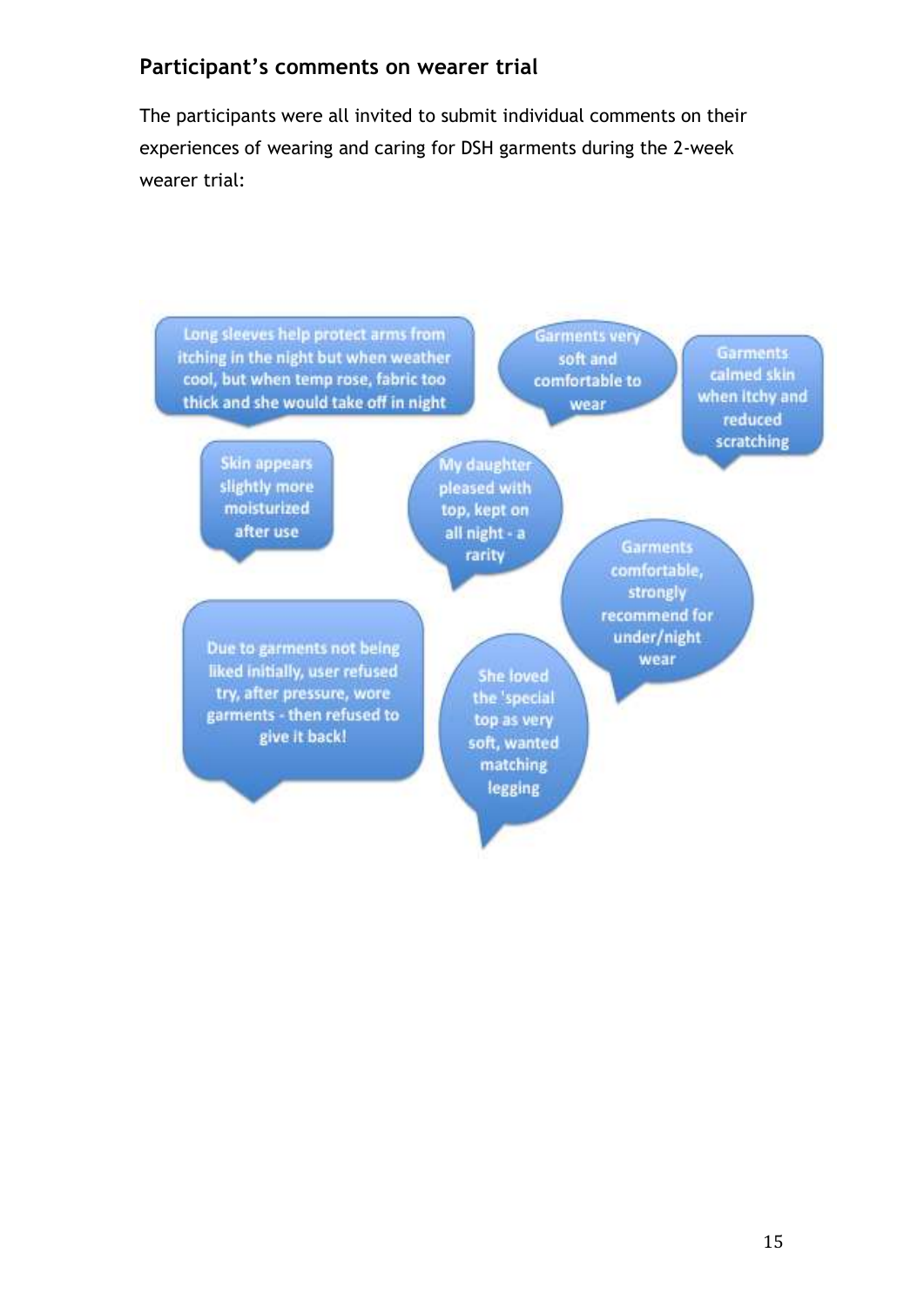## **Participant's comments on wearer trial**

The participants were all invited to submit individual comments on their experiences of wearing and caring for DSH garments during the 2-week wearer trial:

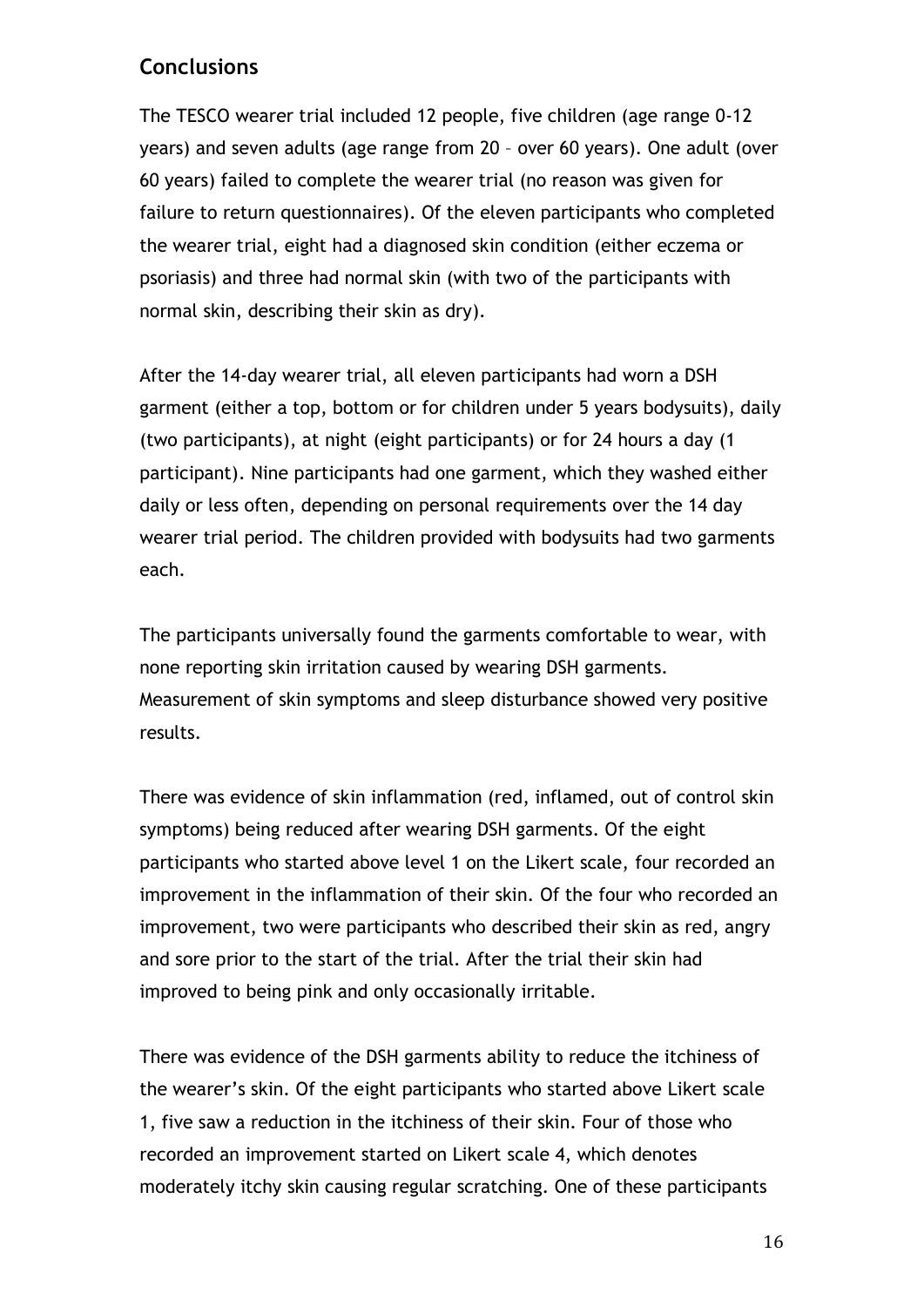## **Conclusions**

The TESCO wearer trial included 12 people, five children (age range 0-12 years) and seven adults (age range from 20 – over 60 years). One adult (over 60 years) failed to complete the wearer trial (no reason was given for failure to return questionnaires). Of the eleven participants who completed the wearer trial, eight had a diagnosed skin condition (either eczema or psoriasis) and three had normal skin (with two of the participants with normal skin, describing their skin as dry).

After the 14-day wearer trial, all eleven participants had worn a DSH garment (either a top, bottom or for children under 5 years bodysuits), daily (two participants), at night (eight participants) or for 24 hours a day (1 participant). Nine participants had one garment, which they washed either daily or less often, depending on personal requirements over the 14 day wearer trial period. The children provided with bodysuits had two garments each.

The participants universally found the garments comfortable to wear, with none reporting skin irritation caused by wearing DSH garments. Measurement of skin symptoms and sleep disturbance showed very positive results.

There was evidence of skin inflammation (red, inflamed, out of control skin symptoms) being reduced after wearing DSH garments. Of the eight participants who started above level 1 on the Likert scale, four recorded an improvement in the inflammation of their skin. Of the four who recorded an improvement, two were participants who described their skin as red, angry and sore prior to the start of the trial. After the trial their skin had improved to being pink and only occasionally irritable.

There was evidence of the DSH garments ability to reduce the itchiness of the wearer's skin. Of the eight participants who started above Likert scale 1, five saw a reduction in the itchiness of their skin. Four of those who recorded an improvement started on Likert scale 4, which denotes moderately itchy skin causing regular scratching. One of these participants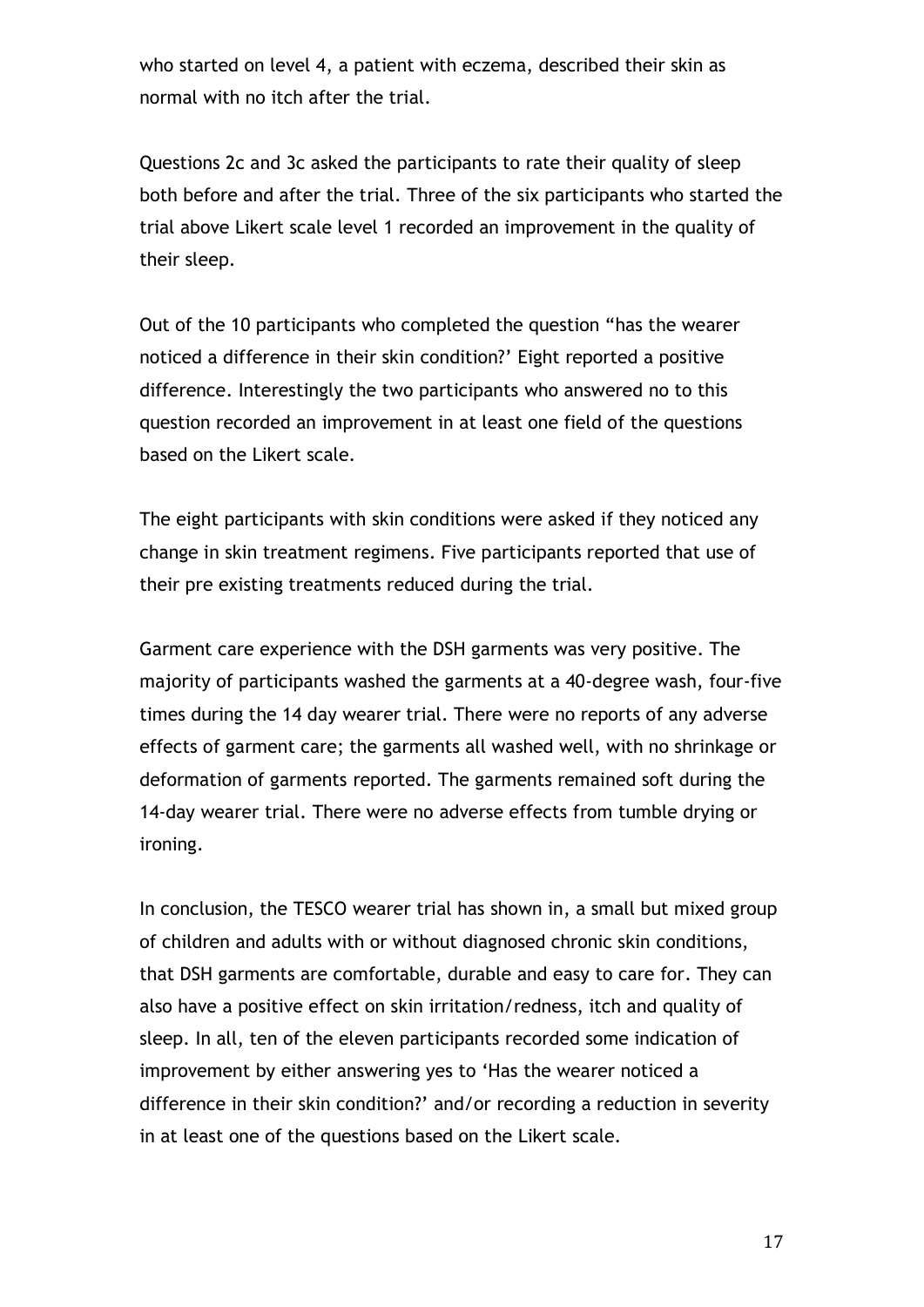who started on level 4, a patient with eczema, described their skin as normal with no itch after the trial.

Questions 2c and 3c asked the participants to rate their quality of sleep both before and after the trial. Three of the six participants who started the trial above Likert scale level 1 recorded an improvement in the quality of their sleep.

Out of the 10 participants who completed the question "has the wearer noticed a difference in their skin condition?' Eight reported a positive difference. Interestingly the two participants who answered no to this question recorded an improvement in at least one field of the questions based on the Likert scale.

The eight participants with skin conditions were asked if they noticed any change in skin treatment regimens. Five participants reported that use of their pre existing treatments reduced during the trial.

Garment care experience with the DSH garments was very positive. The majority of participants washed the garments at a 40-degree wash, four-five times during the 14 day wearer trial. There were no reports of any adverse effects of garment care; the garments all washed well, with no shrinkage or deformation of garments reported. The garments remained soft during the 14-day wearer trial. There were no adverse effects from tumble drying or ironing.

In conclusion, the TESCO wearer trial has shown in, a small but mixed group of children and adults with or without diagnosed chronic skin conditions, that DSH garments are comfortable, durable and easy to care for. They can also have a positive effect on skin irritation/redness, itch and quality of sleep. In all, ten of the eleven participants recorded some indication of improvement by either answering yes to 'Has the wearer noticed a difference in their skin condition?' and/or recording a reduction in severity in at least one of the questions based on the Likert scale.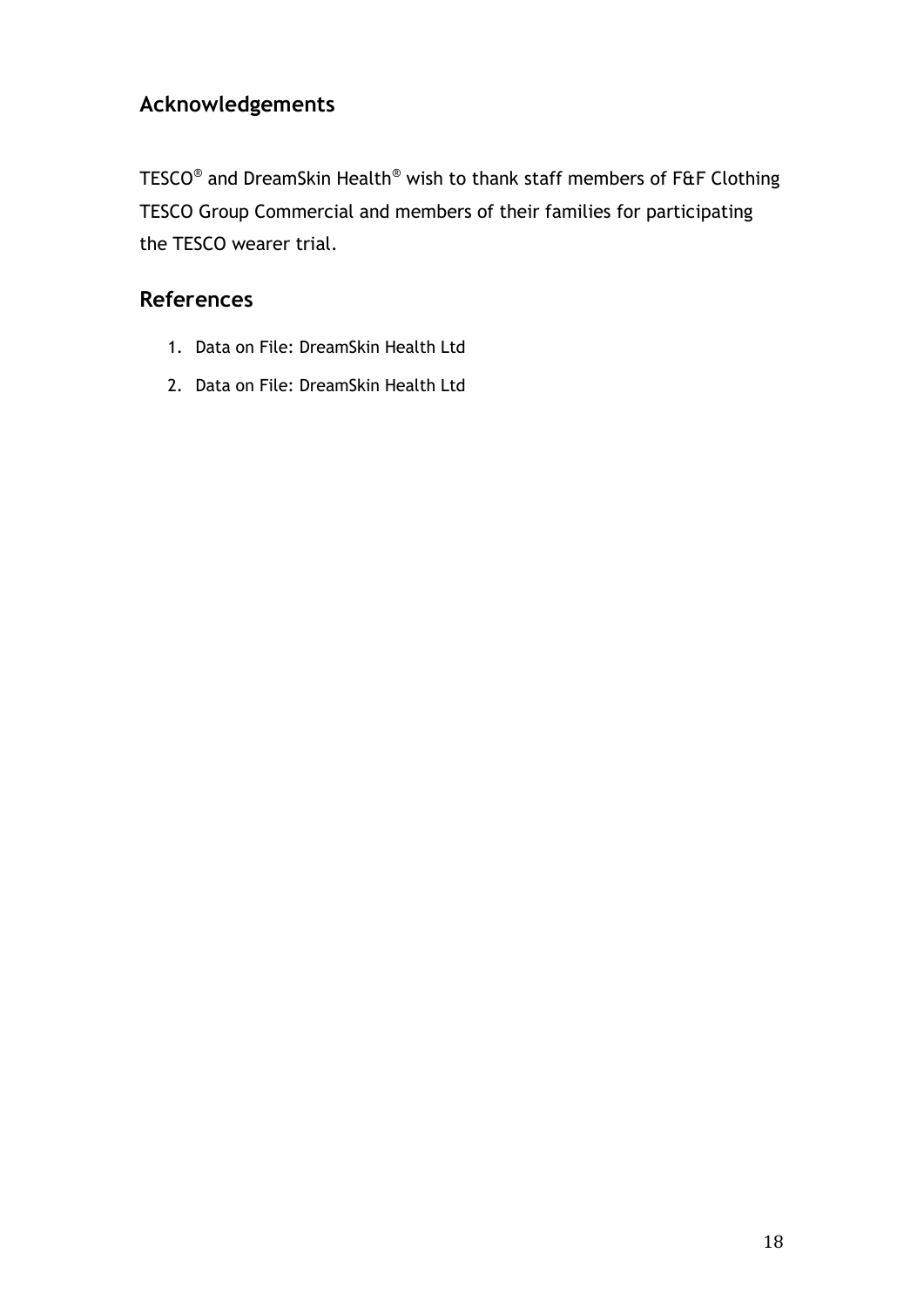# **Acknowledgements**

<code>TESCO®</code> and DreamSkin Health $^{\circledast}$  wish to thank staff members of <code>F&F</code> Clothing TESCO Group Commercial and members of their families for participating the TESCO wearer trial.

## **References**

- 1. Data on File: DreamSkin Health Ltd
- 2. Data on File: DreamSkin Health Ltd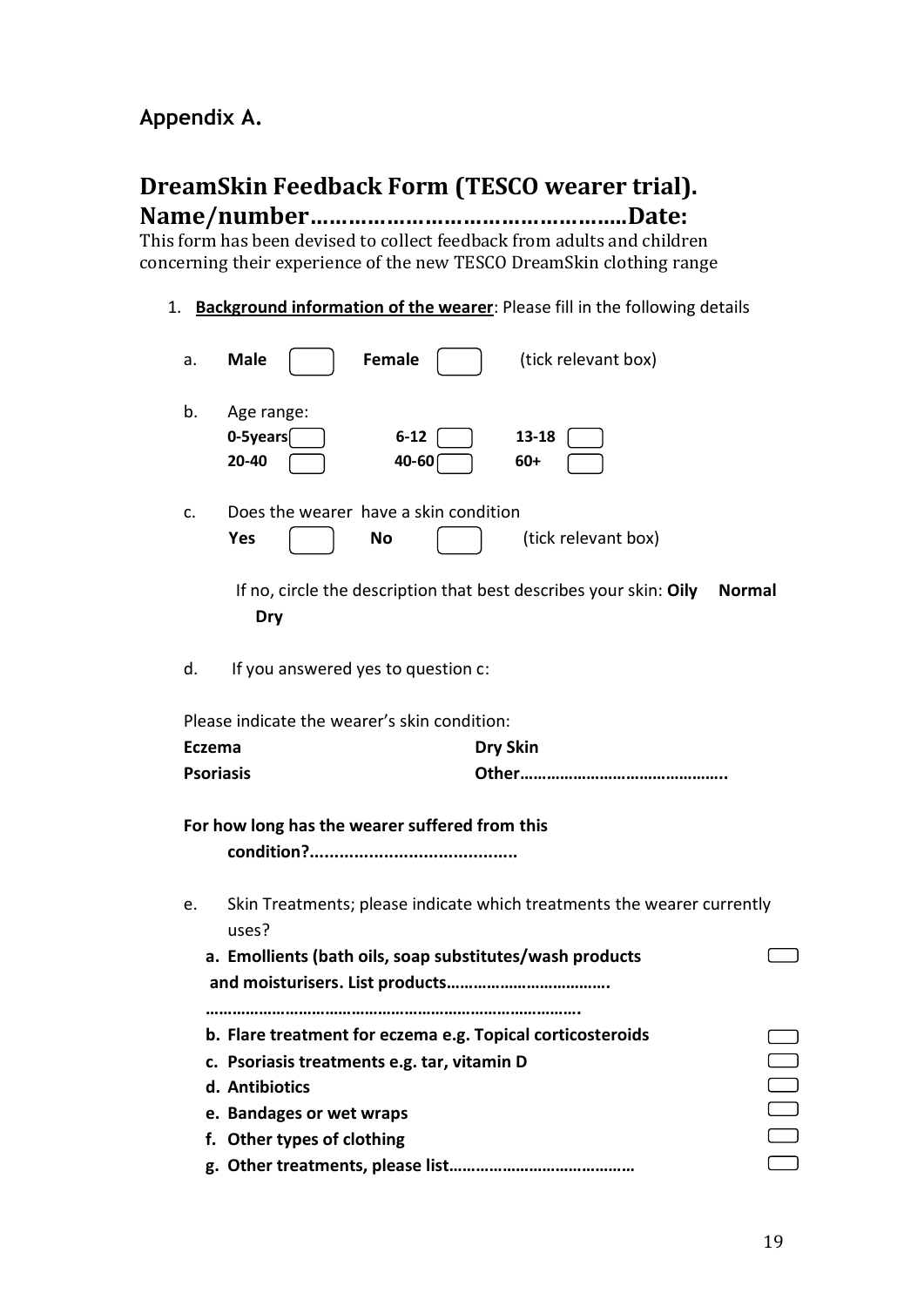## **Appendix A.**

# **DreamSkin Feedback Form (TESCO wearer trial).**

**Name/number…………………………………………..Date:** This form has been devised to collect feedback from adults and children concerning their experience of the new TESCO DreamSkin clothing range

1. **Background information of the wearer**: Please fill in the following details

| a.                                                                                    | Female<br>(tick relevant box)<br><b>Male</b>                                              |  |  |  |  |
|---------------------------------------------------------------------------------------|-------------------------------------------------------------------------------------------|--|--|--|--|
| b.                                                                                    | Age range:<br>0-5years<br>$6 - 12$<br>13-18<br>20-40<br>40-60<br>$60+$                    |  |  |  |  |
| c.                                                                                    | Does the wearer have a skin condition<br>(tick relevant box)<br>Yes<br>No                 |  |  |  |  |
|                                                                                       | If no, circle the description that best describes your skin: Oily<br><b>Normal</b><br>Dry |  |  |  |  |
| d.                                                                                    | If you answered yes to question c:                                                        |  |  |  |  |
|                                                                                       | Please indicate the wearer's skin condition:                                              |  |  |  |  |
| <b>Eczema</b>                                                                         | <b>Dry Skin</b>                                                                           |  |  |  |  |
|                                                                                       | <b>Psoriasis</b>                                                                          |  |  |  |  |
|                                                                                       | For how long has the wearer suffered from this                                            |  |  |  |  |
|                                                                                       |                                                                                           |  |  |  |  |
| Skin Treatments; please indicate which treatments the wearer currently<br>e.<br>uses? |                                                                                           |  |  |  |  |
|                                                                                       | a. Emollients (bath oils, soap substitutes/wash products                                  |  |  |  |  |
|                                                                                       |                                                                                           |  |  |  |  |
|                                                                                       |                                                                                           |  |  |  |  |
|                                                                                       | b. Flare treatment for eczema e.g. Topical corticosteroids                                |  |  |  |  |
|                                                                                       | c. Psoriasis treatments e.g. tar, vitamin D                                               |  |  |  |  |
|                                                                                       | d. Antibiotics                                                                            |  |  |  |  |
|                                                                                       | e. Bandages or wet wraps                                                                  |  |  |  |  |
|                                                                                       | f. Other types of clothing                                                                |  |  |  |  |
|                                                                                       |                                                                                           |  |  |  |  |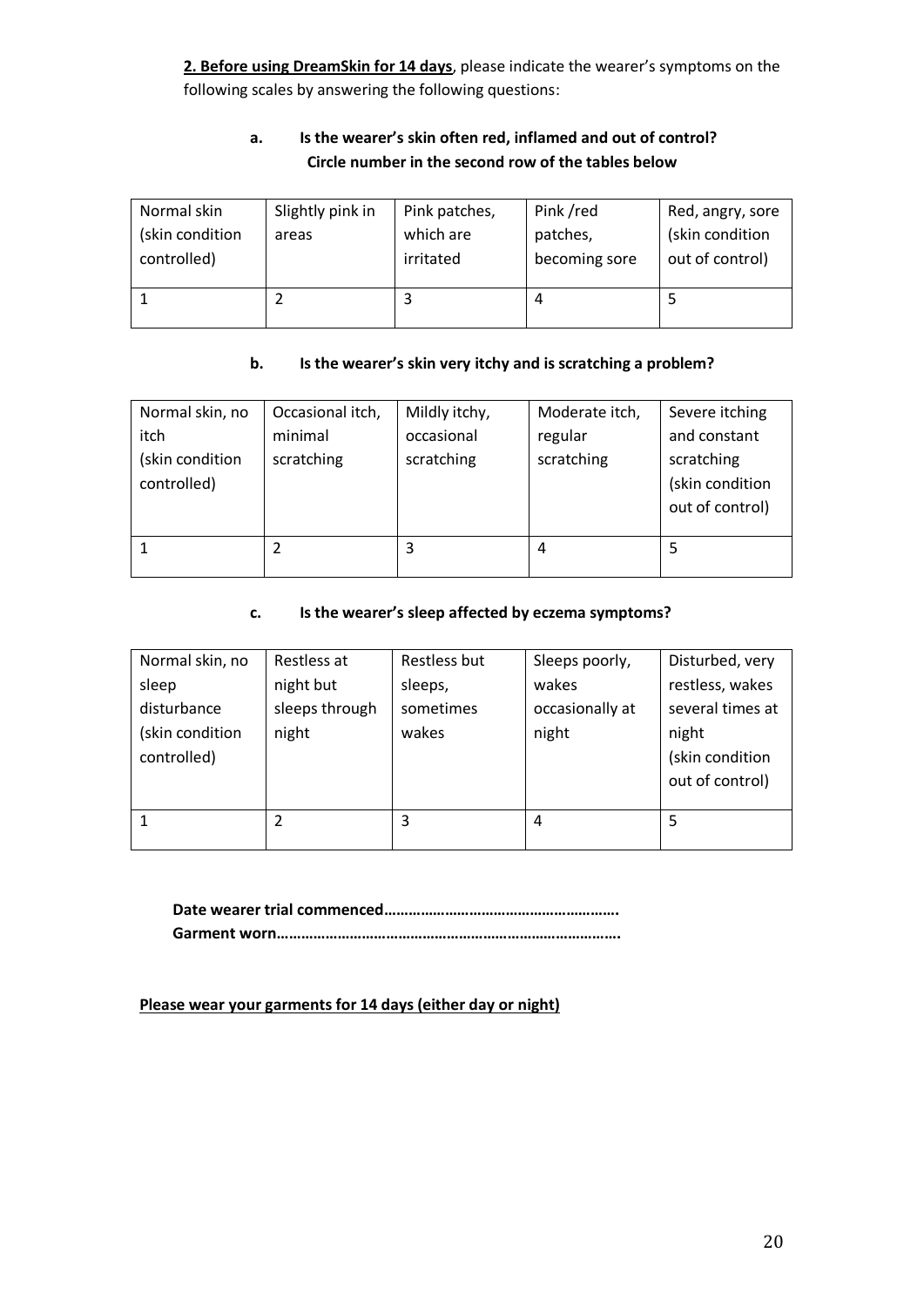**2. Before using DreamSkin for 14 days**, please indicate the wearer's symptoms on the following scales by answering the following questions:

#### **a. Is the wearer's skin often red, inflamed and out of control? Circle number in the second row of the tables below**

| Normal skin     | Slightly pink in | Pink patches, | Pink /red     | Red, angry, sore |
|-----------------|------------------|---------------|---------------|------------------|
| (skin condition | areas            | which are     | patches,      | (skin condition  |
| controlled)     |                  | irritated     | becoming sore | out of control)  |
|                 |                  |               |               |                  |
|                 |                  |               | 4             |                  |
|                 |                  |               |               |                  |

#### **b. Is the wearer's skin very itchy and is scratching a problem?**

| Normal skin, no | Occasional itch, | Mildly itchy, | Moderate itch, | Severe itching  |
|-----------------|------------------|---------------|----------------|-----------------|
| itch            | minimal          | occasional    | regular        | and constant    |
| (skin condition | scratching       | scratching    | scratching     | scratching      |
| controlled)     |                  |               |                | (skin condition |
|                 |                  |               |                | out of control) |
|                 |                  |               |                |                 |
|                 |                  | 3             | 4              |                 |
|                 |                  |               |                |                 |

#### **c. Is the wearer's sleep affected by eczema symptoms?**

| Normal skin, no | Restless at    | Restless but | Sleeps poorly,  | Disturbed, very  |
|-----------------|----------------|--------------|-----------------|------------------|
| sleep           | night but      | sleeps,      | wakes           | restless, wakes  |
| disturbance     | sleeps through | sometimes    | occasionally at | several times at |
| (skin condition | night          | wakes        | night           | night            |
| controlled)     |                |              |                 | (skin condition  |
|                 |                |              |                 | out of control)  |
|                 |                |              |                 |                  |
|                 | 2              | 3            | 4               | 5                |
|                 |                |              |                 |                  |

**Date wearer trial commenced…………………………………………………. Garment worn………………………………………………………………………….** 

**Please wear your garments for 14 days (either day or night)**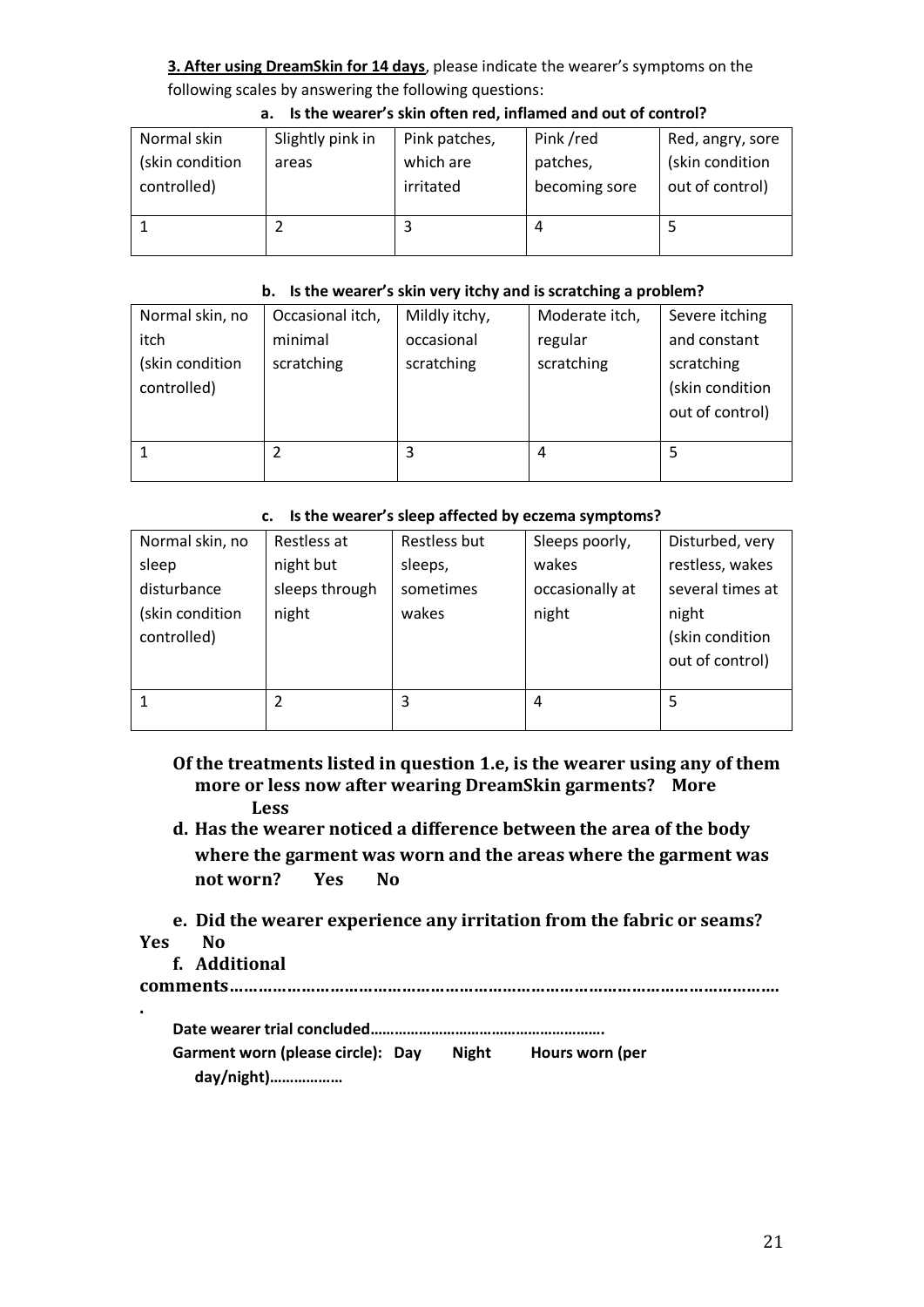#### **3. After using DreamSkin for 14 days**, please indicate the wearer's symptoms on the following scales by answering the following questions:

| Normal skin<br>(skin condition | Slightly pink in<br>areas | Pink patches,<br>which are | Pink /red<br>patches, | Red, angry, sore<br>(skin condition |
|--------------------------------|---------------------------|----------------------------|-----------------------|-------------------------------------|
| controlled)                    |                           | irritated                  | becoming sore         | out of control)                     |
|                                |                           |                            | 4                     |                                     |

#### **a. Is the wearer's skin often red, inflamed and out of control?**

#### **b. Is the wearer's skin very itchy and is scratching a problem?**

| Normal skin, no | Occasional itch, | Mildly itchy, | Moderate itch, | Severe itching  |
|-----------------|------------------|---------------|----------------|-----------------|
| itch            | minimal          | occasional    | regular        | and constant    |
| (skin condition | scratching       | scratching    | scratching     | scratching      |
| controlled)     |                  |               |                | (skin condition |
|                 |                  |               |                | out of control) |
|                 |                  |               |                |                 |
|                 |                  | 3             | 4              |                 |
|                 |                  |               |                |                 |

#### **c. Is the wearer's sleep affected by eczema symptoms?**

| Normal skin, no | Restless at    | Restless but | Sleeps poorly,  | Disturbed, very  |
|-----------------|----------------|--------------|-----------------|------------------|
| sleep           | night but      | sleeps,      | wakes           | restless, wakes  |
| disturbance     | sleeps through | sometimes    | occasionally at | several times at |
| (skin condition | night          | wakes        | night           | night            |
| controlled)     |                |              |                 | (skin condition  |
|                 |                |              |                 | out of control)  |
|                 |                |              |                 |                  |
|                 | 2              | 3            | 4               | 5                |
|                 |                |              |                 |                  |

- **Of the treatments listed in question 1.e, is the wearer using any of them more or less now after wearing DreamSkin garments? More Less**
- **d. Has the wearer noticed a difference between the area of the body where the garment was worn and the areas where the garment was not worn? Yes No**
- **e. Did the wearer experience any irritation from the fabric or seams? Yes No**
	- **f. Additional**

**.**

|--|--|

| Garment worn (please circle): Day | Night | Hours worn (per |
|-----------------------------------|-------|-----------------|
| day/night)                        |       |                 |